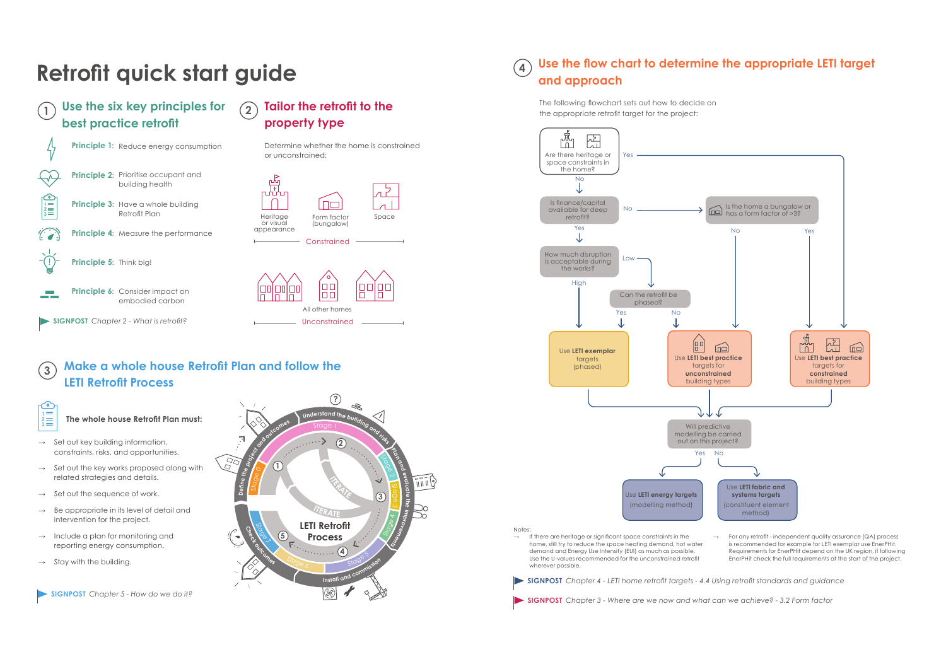**The whole house Retrofit Plan must:**

- $\rightarrow$  Set out key building information, constraints, risks, and opportunities.
- $\rightarrow$  Set out the key works proposed along with related strategies and details.
- $\rightarrow$  Set out the sequence of work.
- Be appropriate in its level of detail and intervention for the project.
- $\rightarrow$  Include a plan for monitoring and reporting energy consumption.
- $\rightarrow$  Stay with the building.

# **Retrofit quick start guide**

**Tailor the retrofit to the** 

**Use the six key principles for best practice retrofit 1**

**property type**

Determine whether the home is constrained

or unconstrained:



#### **Make a whole house Retrofit Plan and follow the LETI Retrofit Process 3**

**2**

Form factor (bungalow)

Ino

**Constrained** 

Heritage or visual appearance

ᅛ

All other homes

 $\Box$ 

 $\Box$ 

Space

00 | 00

П

П

Unconstrained



For any retrofit - independent quality assurance (QA) process is recommended for example for LETI exemplar use EnerPHit. Requirements for EnerPHit depend on the UK region, if following EnerPHit check the full requirements at the start of the project.

**SIGNPOST** *Chapter 5 - How do we do it?* 



### **Use the flow chart to determine the appropriate LETI target and approach 4**



The following flowchart sets out how to decide on the appropriate retrofit target for the project: